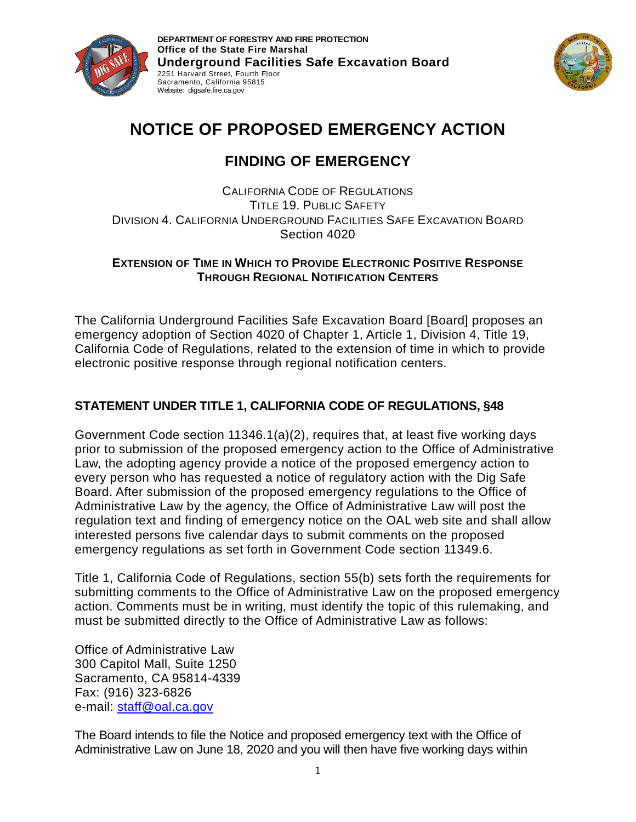



# **NOTICE OF PROPOSED EMERGENCY ACTION**

# **FINDING OF EMERGENCY**

CALIFORNIA CODE OF REGULATIONS TITLE 19. PUBLIC SAFETY DIVISION 4. CALIFORNIA UNDERGROUND FACILITIES SAFE EXCAVATION BOARD Section 4020

### **EXTENSION OF TIME IN WHICH TO PROVIDE ELECTRONIC POSITIVE RESPONSE THROUGH REGIONAL NOTIFICATION CENTERS**

The California Underground Facilities Safe Excavation Board [Board] proposes an emergency adoption of Section 4020 of Chapter 1, Article 1, Division 4, Title 19, California Code of Regulations, related to the extension of time in which to provide electronic positive response through regional notification centers.

# **STATEMENT UNDER TITLE 1, CALIFORNIA CODE OF REGULATIONS, §48**

Government Code section 11346.1(a)(2), requires that, at least five working days prior to submission of the proposed emergency action to the Office of Administrative Law, the adopting agency provide a notice of the proposed emergency action to every person who has requested a notice of regulatory action with the Dig Safe Board. After submission of the proposed emergency regulations to the Office of Administrative Law by the agency, the Office of Administrative Law will post the regulation text and finding of emergency notice on the OAL web site and shall allow interested persons five calendar days to submit comments on the proposed emergency regulations as set forth in Government Code section 11349.6.

Title 1, California Code of Regulations, section 55(b) sets forth the requirements for submitting comments to the Office of Administrative Law on the proposed emergency action. Comments must be in writing, must identify the topic of this rulemaking, and must be submitted directly to the Office of Administrative Law as follows:

Office of Administrative Law 300 Capitol Mall, Suite 1250 Sacramento, CA 95814-4339 Fax: (916) 323-6826 e-mail: [staff@oal.ca.gov](mailto:staff@oal.ca.gov)

The Board intends to file the Notice and proposed emergency text with the Office of Administrative Law on June 18, 2020 and you will then have five working days within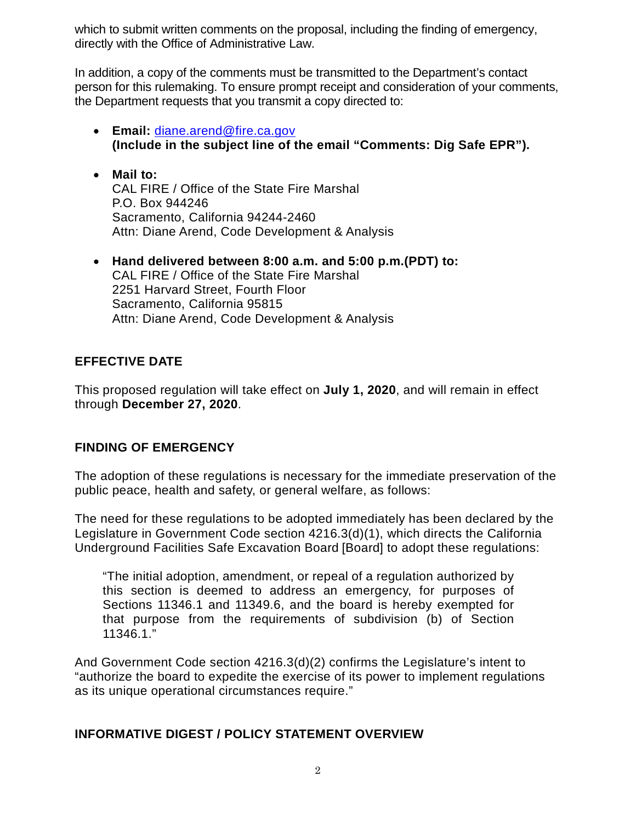which to submit written comments on the proposal, including the finding of emergency, directly with the Office of Administrative Law.

In addition, a copy of the comments must be transmitted to the Department's contact person for this rulemaking. To ensure prompt receipt and consideration of your comments, the Department requests that you transmit a copy directed to:

- **Email:** [diane.arend@fire.ca.gov](mailto:diane.arend@fire.ca.gov) **(Include in the subject line of the email "Comments: Dig Safe EPR").**
- **Mail to:** CAL FIRE / Office of the State Fire Marshal P.O. Box 944246 Sacramento, California 94244-2460 Attn: Diane Arend, Code Development & Analysis
- **Hand delivered between 8:00 a.m. and 5:00 p.m.(PDT) to:** CAL FIRE / Office of the State Fire Marshal 2251 Harvard Street, Fourth Floor Sacramento, California 95815 Attn: Diane Arend, Code Development & Analysis

# **EFFECTIVE DATE**

This proposed regulation will take effect on **July 1, 2020**, and will remain in effect through **December 27, 2020**.

# **FINDING OF EMERGENCY**

The adoption of these regulations is necessary for the immediate preservation of the public peace, health and safety, or general welfare, as follows:

The need for these regulations to be adopted immediately has been declared by the Legislature in Government Code section 4216.3(d)(1), which directs the California Underground Facilities Safe Excavation Board [Board] to adopt these regulations:

"The initial adoption, amendment, or repeal of a regulation authorized by this section is deemed to address an emergency, for purposes of Sections 11346.1 and 11349.6, and the board is hereby exempted for that purpose from the requirements of subdivision (b) of Section 11346.1."

And Government Code section 4216.3(d)(2) confirms the Legislature's intent to "authorize the board to expedite the exercise of its power to implement regulations as its unique operational circumstances require."

# **INFORMATIVE DIGEST / POLICY STATEMENT OVERVIEW**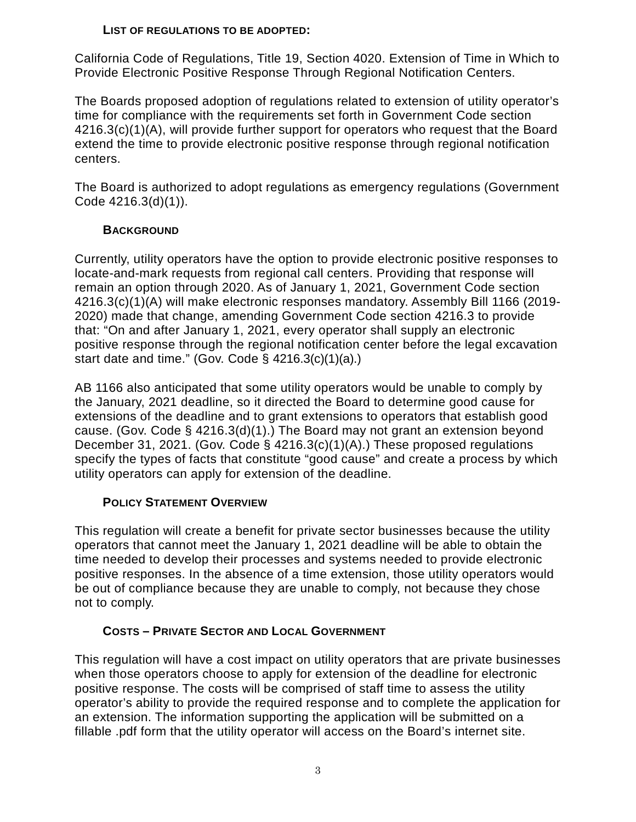#### **LIST OF REGULATIONS TO BE ADOPTED:**

California Code of Regulations, Title 19, Section 4020. Extension of Time in Which to Provide Electronic Positive Response Through Regional Notification Centers.

The Boards proposed adoption of regulations related to extension of utility operator's time for compliance with the requirements set forth in Government Code section 4216.3(c)(1)(A), will provide further support for operators who request that the Board extend the time to provide electronic positive response through regional notification centers.

The Board is authorized to adopt regulations as emergency regulations (Government Code 4216.3(d)(1)).

#### **BACKGROUND**

Currently, utility operators have the option to provide electronic positive responses to locate-and-mark requests from regional call centers. Providing that response will remain an option through 2020. As of January 1, 2021, Government Code section 4216.3(c)(1)(A) will make electronic responses mandatory. Assembly Bill 1166 (2019- 2020) made that change, amending Government Code section 4216.3 to provide that: "On and after January 1, 2021, every operator shall supply an electronic positive response through the regional notification center before the legal excavation start date and time." (Gov. Code  $\S$  4216.3(c)(1)(a).)

AB 1166 also anticipated that some utility operators would be unable to comply by the January, 2021 deadline, so it directed the Board to determine good cause for extensions of the deadline and to grant extensions to operators that establish good cause. (Gov. Code § 4216.3(d)(1).) The Board may not grant an extension beyond December 31, 2021. (Gov. Code § 4216.3(c)(1)(A).) These proposed regulations specify the types of facts that constitute "good cause" and create a process by which utility operators can apply for extension of the deadline.

#### **POLICY STATEMENT OVERVIEW**

This regulation will create a benefit for private sector businesses because the utility operators that cannot meet the January 1, 2021 deadline will be able to obtain the time needed to develop their processes and systems needed to provide electronic positive responses. In the absence of a time extension, those utility operators would be out of compliance because they are unable to comply, not because they chose not to comply.

## **COSTS – PRIVATE SECTOR AND LOCAL GOVERNMENT**

This regulation will have a cost impact on utility operators that are private businesses when those operators choose to apply for extension of the deadline for electronic positive response. The costs will be comprised of staff time to assess the utility operator's ability to provide the required response and to complete the application for an extension. The information supporting the application will be submitted on a fillable .pdf form that the utility operator will access on the Board's internet site.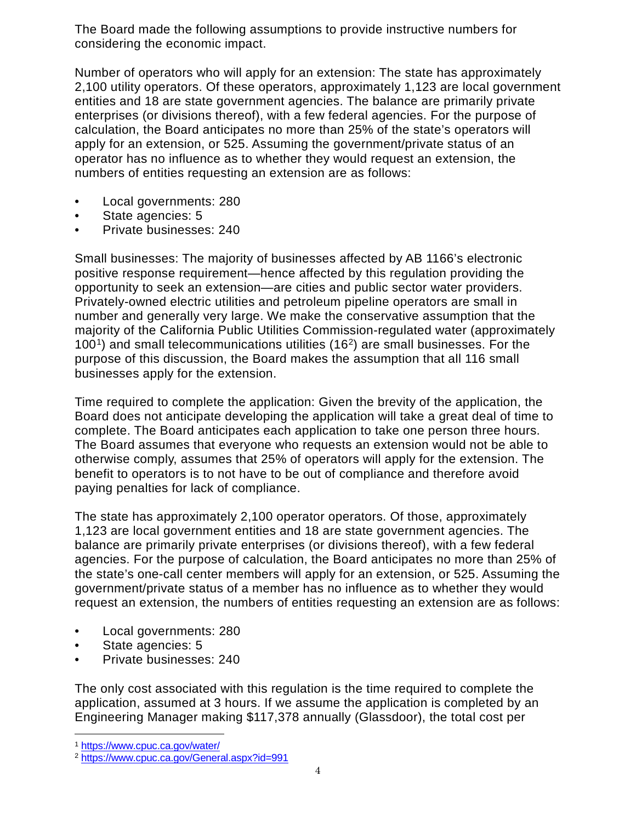The Board made the following assumptions to provide instructive numbers for considering the economic impact.

Number of operators who will apply for an extension: The state has approximately 2,100 utility operators. Of these operators, approximately 1,123 are local government entities and 18 are state government agencies. The balance are primarily private enterprises (or divisions thereof), with a few federal agencies. For the purpose of calculation, the Board anticipates no more than 25% of the state's operators will apply for an extension, or 525. Assuming the government/private status of an operator has no influence as to whether they would request an extension, the numbers of entities requesting an extension are as follows:

- Local governments: 280
- State agencies: 5
- Private businesses: 240

Small businesses: The majority of businesses affected by AB 1166's electronic positive response requirement—hence affected by this regulation providing the opportunity to seek an extension—are cities and public sector water providers. Privately-owned electric utilities and petroleum pipeline operators are small in number and generally very large. We make the conservative assumption that the majority of the California Public Utilities Commission-regulated water (approximately  $100<sup>1</sup>$ ) and small telecommunications utilities (16<sup>[2](#page-3-1)</sup>) are small businesses. For the purpose of this discussion, the Board makes the assumption that all 116 small businesses apply for the extension.

Time required to complete the application: Given the brevity of the application, the Board does not anticipate developing the application will take a great deal of time to complete. The Board anticipates each application to take one person three hours. The Board assumes that everyone who requests an extension would not be able to otherwise comply, assumes that 25% of operators will apply for the extension. The benefit to operators is to not have to be out of compliance and therefore avoid paying penalties for lack of compliance.

The state has approximately 2,100 operator operators. Of those, approximately 1,123 are local government entities and 18 are state government agencies. The balance are primarily private enterprises (or divisions thereof), with a few federal agencies. For the purpose of calculation, the Board anticipates no more than 25% of the state's one-call center members will apply for an extension, or 525. Assuming the government/private status of a member has no influence as to whether they would request an extension, the numbers of entities requesting an extension are as follows:

- Local governments: 280
- State agencies: 5
- Private businesses: 240

The only cost associated with this regulation is the time required to complete the application, assumed at 3 hours. If we assume the application is completed by an Engineering Manager making \$117,378 annually (Glassdoor), the total cost per

<span id="page-3-0"></span> <sup>1</sup> <https://www.cpuc.ca.gov/water/>

<span id="page-3-1"></span><sup>2</sup> <https://www.cpuc.ca.gov/General.aspx?id=991>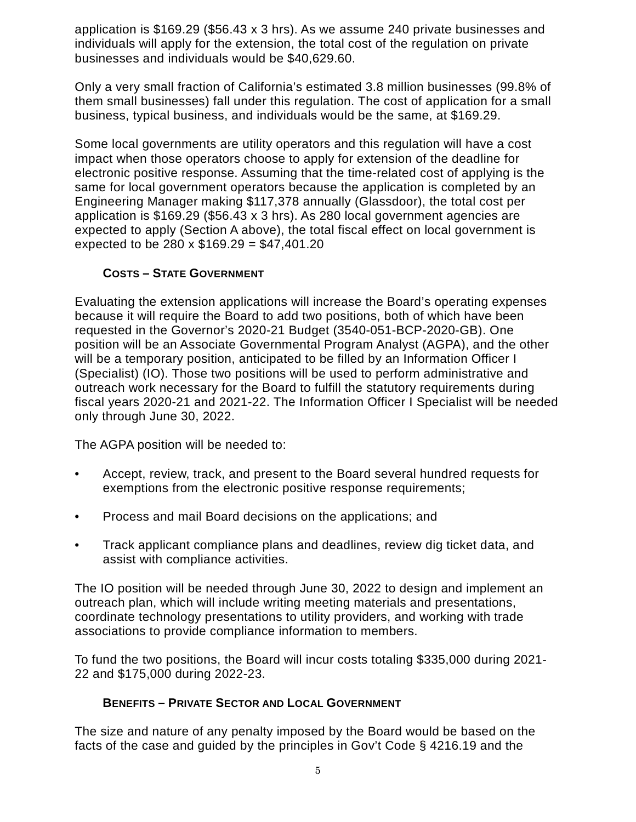application is \$169.29 (\$56.43 x 3 hrs). As we assume 240 private businesses and individuals will apply for the extension, the total cost of the regulation on private businesses and individuals would be \$40,629.60.

Only a very small fraction of California's estimated 3.8 million businesses (99.8% of them small businesses) fall under this regulation. The cost of application for a small business, typical business, and individuals would be the same, at \$169.29.

Some local governments are utility operators and this regulation will have a cost impact when those operators choose to apply for extension of the deadline for electronic positive response. Assuming that the time-related cost of applying is the same for local government operators because the application is completed by an Engineering Manager making \$117,378 annually (Glassdoor), the total cost per application is \$169.29 (\$56.43 x 3 hrs). As 280 local government agencies are expected to apply (Section A above), the total fiscal effect on local government is expected to be 280 x  $$169.29 = $47,401.20$ 

## **COSTS – STATE GOVERNMENT**

Evaluating the extension applications will increase the Board's operating expenses because it will require the Board to add two positions, both of which have been requested in the Governor's 2020-21 Budget (3540-051-BCP-2020-GB). One position will be an Associate Governmental Program Analyst (AGPA), and the other will be a temporary position, anticipated to be filled by an Information Officer I (Specialist) (IO). Those two positions will be used to perform administrative and outreach work necessary for the Board to fulfill the statutory requirements during fiscal years 2020-21 and 2021-22. The Information Officer I Specialist will be needed only through June 30, 2022.

The AGPA position will be needed to:

- Accept, review, track, and present to the Board several hundred requests for exemptions from the electronic positive response requirements;
- Process and mail Board decisions on the applications; and
- Track applicant compliance plans and deadlines, review dig ticket data, and assist with compliance activities.

The IO position will be needed through June 30, 2022 to design and implement an outreach plan, which will include writing meeting materials and presentations, coordinate technology presentations to utility providers, and working with trade associations to provide compliance information to members.

To fund the two positions, the Board will incur costs totaling \$335,000 during 2021- 22 and \$175,000 during 2022-23.

#### **BENEFITS – PRIVATE SECTOR AND LOCAL GOVERNMENT**

The size and nature of any penalty imposed by the Board would be based on the facts of the case and guided by the principles in Gov't Code § 4216.19 and the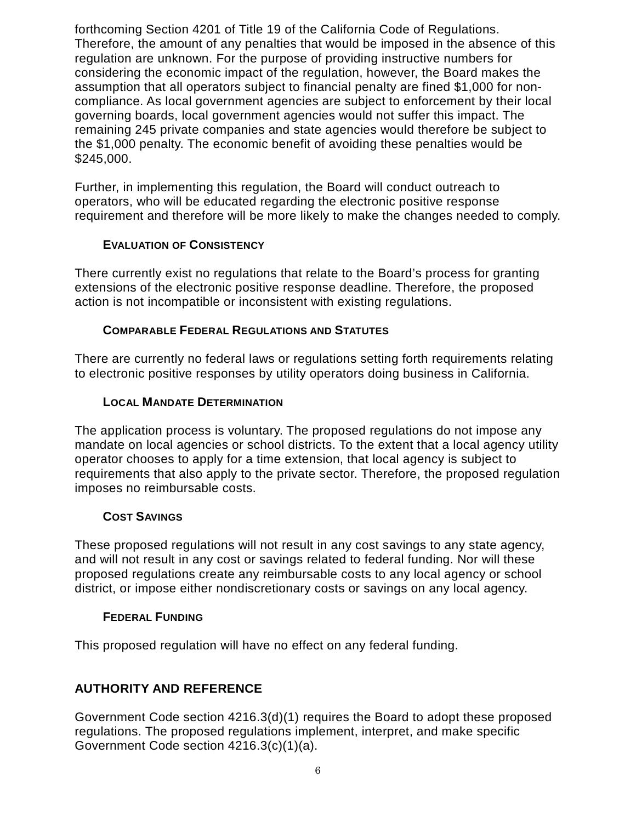forthcoming Section 4201 of Title 19 of the California Code of Regulations. Therefore, the amount of any penalties that would be imposed in the absence of this regulation are unknown. For the purpose of providing instructive numbers for considering the economic impact of the regulation, however, the Board makes the assumption that all operators subject to financial penalty are fined \$1,000 for noncompliance. As local government agencies are subject to enforcement by their local governing boards, local government agencies would not suffer this impact. The remaining 245 private companies and state agencies would therefore be subject to the \$1,000 penalty. The economic benefit of avoiding these penalties would be \$245,000.

Further, in implementing this regulation, the Board will conduct outreach to operators, who will be educated regarding the electronic positive response requirement and therefore will be more likely to make the changes needed to comply.

### **EVALUATION OF CONSISTENCY**

There currently exist no regulations that relate to the Board's process for granting extensions of the electronic positive response deadline. Therefore, the proposed action is not incompatible or inconsistent with existing regulations.

### **COMPARABLE FEDERAL REGULATIONS AND STATUTES**

There are currently no federal laws or regulations setting forth requirements relating to electronic positive responses by utility operators doing business in California.

### **LOCAL MANDATE DETERMINATION**

The application process is voluntary. The proposed regulations do not impose any mandate on local agencies or school districts. To the extent that a local agency utility operator chooses to apply for a time extension, that local agency is subject to requirements that also apply to the private sector. Therefore, the proposed regulation imposes no reimbursable costs.

#### **COST SAVINGS**

These proposed regulations will not result in any cost savings to any state agency, and will not result in any cost or savings related to federal funding. Nor will these proposed regulations create any reimbursable costs to any local agency or school district, or impose either nondiscretionary costs or savings on any local agency.

#### **FEDERAL FUNDING**

This proposed regulation will have no effect on any federal funding.

# **AUTHORITY AND REFERENCE**

Government Code section 4216.3(d)(1) requires the Board to adopt these proposed regulations. The proposed regulations implement, interpret, and make specific Government Code section 4216.3(c)(1)(a).